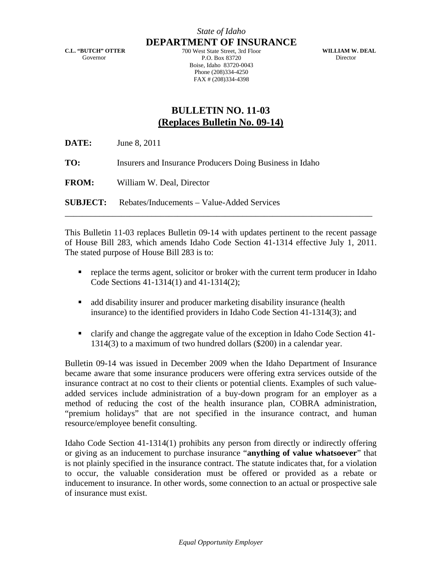**C.L. "BUTCH" OTTER**  Governor

*State of Idaho* **DEPARTMENT OF INSURANCE**

700 West State Street, 3rd Floor P.O. Box 83720 Boise, Idaho 83720-0043 Phone (208)334-4250 FAX # (208)334-4398

**WILLIAM W. DEAL**  Director

## **BULLETIN NO. 11-03 (Replaces Bulletin No. 09-14)**

| <b>DATE:</b> | June 8, 2011                                               |
|--------------|------------------------------------------------------------|
| TO:          | Insurers and Insurance Producers Doing Business in Idaho   |
| <b>FROM:</b> | William W. Deal, Director                                  |
|              | <b>SUBJECT:</b> Rebates/Inducements – Value-Added Services |

This Bulletin 11-03 replaces Bulletin 09-14 with updates pertinent to the recent passage of House Bill 283, which amends Idaho Code Section 41-1314 effective July 1, 2011. The stated purpose of House Bill 283 is to:

- replace the terms agent, solicitor or broker with the current term producer in Idaho Code Sections 41-1314(1) and 41-1314(2);
- add disability insurer and producer marketing disability insurance (health insurance) to the identified providers in Idaho Code Section 41-1314(3); and
- clarify and change the aggregate value of the exception in Idaho Code Section 41- 1314(3) to a maximum of two hundred dollars (\$200) in a calendar year.

Bulletin 09-14 was issued in December 2009 when the Idaho Department of Insurance became aware that some insurance producers were offering extra services outside of the insurance contract at no cost to their clients or potential clients. Examples of such valueadded services include administration of a buy-down program for an employer as a method of reducing the cost of the health insurance plan, COBRA administration, "premium holidays" that are not specified in the insurance contract, and human resource/employee benefit consulting.

Idaho Code Section 41-1314(1) prohibits any person from directly or indirectly offering or giving as an inducement to purchase insurance "**anything of value whatsoever**" that is not plainly specified in the insurance contract. The statute indicates that, for a violation to occur, the valuable consideration must be offered or provided as a rebate or inducement to insurance. In other words, some connection to an actual or prospective sale of insurance must exist.